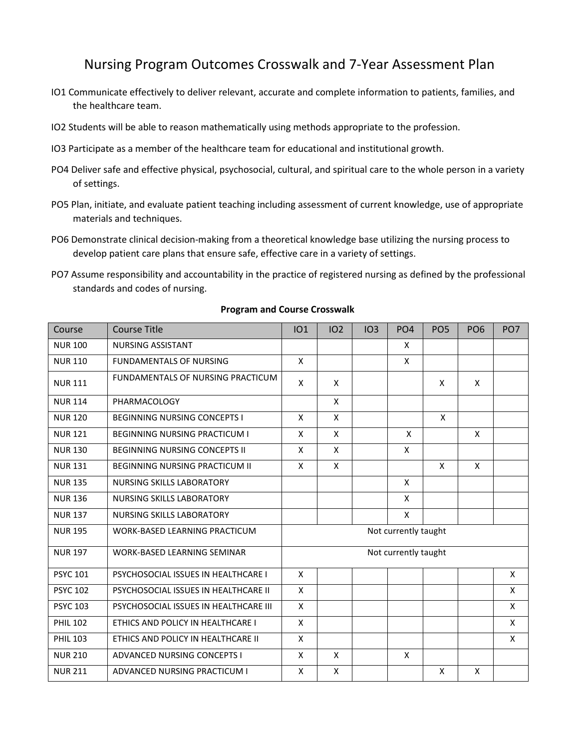# Nursing Program Outcomes Crosswalk and 7-Year Assessment Plan

- IO1 Communicate effectively to deliver relevant, accurate and complete information to patients, families, and the healthcare team.
- IO2 Students will be able to reason mathematically using methods appropriate to the profession.
- IO3 Participate as a member of the healthcare team for educational and institutional growth.
- PO4 Deliver safe and effective physical, psychosocial, cultural, and spiritual care to the whole person in a variety of settings.
- PO5 Plan, initiate, and evaluate patient teaching including assessment of current knowledge, use of appropriate materials and techniques.
- PO6 Demonstrate clinical decision-making from a theoretical knowledge base utilizing the nursing process to develop patient care plans that ensure safe, effective care in a variety of settings.
- PO7 Assume responsibility and accountability in the practice of registered nursing as defined by the professional standards and codes of nursing.

| Course          | <b>Course Title</b>                   | IO1                  | 102          | IO3 | PO <sub>4</sub>      | PO <sub>5</sub> | PO <sub>6</sub> | PO <sub>7</sub> |
|-----------------|---------------------------------------|----------------------|--------------|-----|----------------------|-----------------|-----------------|-----------------|
| <b>NUR 100</b>  | NURSING ASSISTANT                     |                      |              |     | X                    |                 |                 |                 |
| <b>NUR 110</b>  | <b>FUNDAMENTALS OF NURSING</b>        | X                    |              |     | X                    |                 |                 |                 |
| <b>NUR 111</b>  | FUNDAMENTALS OF NURSING PRACTICUM     | X                    | X            |     |                      | X               | X               |                 |
| <b>NUR 114</b>  | PHARMACOLOGY                          |                      | X            |     |                      |                 |                 |                 |
| <b>NUR 120</b>  | <b>BEGINNING NURSING CONCEPTS I</b>   | X                    | $\mathsf{X}$ |     |                      | X               |                 |                 |
| <b>NUR 121</b>  | <b>BEGINNING NURSING PRACTICUM I</b>  | $\pmb{\times}$       | $\mathsf{x}$ |     | X                    |                 | X               |                 |
| <b>NUR 130</b>  | <b>BEGINNING NURSING CONCEPTS II</b>  | X                    | X            |     | X                    |                 |                 |                 |
| <b>NUR 131</b>  | <b>BEGINNING NURSING PRACTICUM II</b> |                      | $\mathsf{x}$ |     |                      | X               | X               |                 |
| <b>NUR 135</b>  | NURSING SKILLS LABORATORY             |                      |              |     | X                    |                 |                 |                 |
| <b>NUR 136</b>  | <b>NURSING SKILLS LABORATORY</b>      |                      |              |     | X                    |                 |                 |                 |
| <b>NUR 137</b>  | NURSING SKILLS LABORATORY             |                      |              |     | $\pmb{\mathsf{X}}$   |                 |                 |                 |
| <b>NUR 195</b>  | <b>WORK-BASED LEARNING PRACTICUM</b>  | Not currently taught |              |     |                      |                 |                 |                 |
| <b>NUR 197</b>  | WORK-BASED LEARNING SEMINAR           |                      |              |     | Not currently taught |                 |                 |                 |
| <b>PSYC 101</b> | PSYCHOSOCIAL ISSUES IN HEALTHCARE I   | X                    |              |     |                      |                 |                 | X               |
| <b>PSYC 102</b> | PSYCHOSOCIAL ISSUES IN HEALTHCARE II  | $\mathsf{x}$         |              |     |                      |                 |                 | X               |
| <b>PSYC 103</b> | PSYCHOSOCIAL ISSUES IN HEALTHCARE III | X                    |              |     |                      |                 |                 | X               |
| <b>PHIL 102</b> | ETHICS AND POLICY IN HEALTHCARE I     | $\pmb{\times}$       |              |     |                      |                 |                 | X               |
| <b>PHIL 103</b> | ETHICS AND POLICY IN HEALTHCARE II.   | X                    |              |     |                      |                 |                 | X               |
| <b>NUR 210</b>  | <b>ADVANCED NURSING CONCEPTS I</b>    | X                    | X            |     | X                    |                 |                 |                 |
| <b>NUR 211</b>  | ADVANCED NURSING PRACTICUM I          | X                    | $\mathsf{x}$ |     |                      | X               | $\mathsf{x}$    |                 |

#### **Program and Course Crosswalk**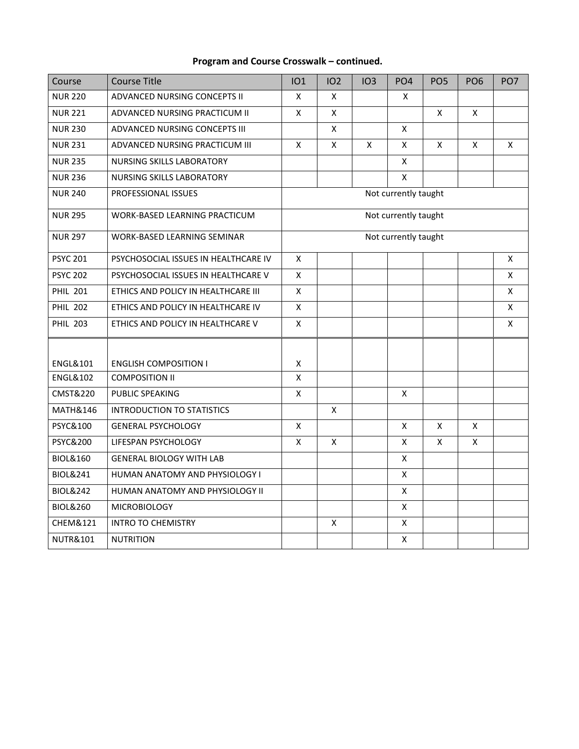### **Program and Course Crosswalk – continued.**

| Course              | <b>Course Title</b>                  | <b>IO1</b>   | IO <sub>2</sub> | IO3 | PO <sub>4</sub>      | PO <sub>5</sub> | PO <sub>6</sub> | PO <sub>7</sub> |
|---------------------|--------------------------------------|--------------|-----------------|-----|----------------------|-----------------|-----------------|-----------------|
| <b>NUR 220</b>      | ADVANCED NURSING CONCEPTS II         | X            | Χ               |     | X                    |                 |                 |                 |
| <b>NUR 221</b>      | ADVANCED NURSING PRACTICUM II        | X            | Χ               |     |                      | $\pmb{\times}$  | Χ               |                 |
| <b>NUR 230</b>      | ADVANCED NURSING CONCEPTS III        |              | X               |     | $\pmb{\mathsf{X}}$   |                 |                 |                 |
| <b>NUR 231</b>      | ADVANCED NURSING PRACTICUM III       | $\mathsf{X}$ | X               | X   | $\mathsf{x}$         | X               | X               | X               |
| <b>NUR 235</b>      | <b>NURSING SKILLS LABORATORY</b>     |              |                 |     | $\mathsf{x}$         |                 |                 |                 |
| <b>NUR 236</b>      | <b>NURSING SKILLS LABORATORY</b>     |              |                 |     | $\pmb{\mathsf{X}}$   |                 |                 |                 |
| <b>NUR 240</b>      | PROFESSIONAL ISSUES                  |              |                 |     | Not currently taught |                 |                 |                 |
| <b>NUR 295</b>      | WORK-BASED LEARNING PRACTICUM        |              |                 |     | Not currently taught |                 |                 |                 |
| <b>NUR 297</b>      | WORK-BASED LEARNING SEMINAR          |              |                 |     | Not currently taught |                 |                 |                 |
| <b>PSYC 201</b>     | PSYCHOSOCIAL ISSUES IN HEALTHCARE IV | X            |                 |     |                      |                 |                 | X               |
| <b>PSYC 202</b>     | PSYCHOSOCIAL ISSUES IN HEALTHCARE V  | $\mathsf{X}$ |                 |     |                      |                 |                 | $\mathsf{x}$    |
| <b>PHIL 201</b>     | ETHICS AND POLICY IN HEALTHCARE III  | X            |                 |     |                      |                 |                 | X               |
| <b>PHIL 202</b>     | ETHICS AND POLICY IN HEALTHCARE IV   | $\mathsf{x}$ |                 |     |                      |                 |                 | X               |
| <b>PHIL 203</b>     | ETHICS AND POLICY IN HEALTHCARE V    | X            |                 |     |                      |                 |                 | X               |
|                     |                                      |              |                 |     |                      |                 |                 |                 |
| <b>ENGL&amp;101</b> | <b>ENGLISH COMPOSITION I</b>         | X            |                 |     |                      |                 |                 |                 |
| <b>ENGL&amp;102</b> | <b>COMPOSITION II</b>                | X            |                 |     |                      |                 |                 |                 |
| CMST&220            | PUBLIC SPEAKING                      | X            |                 |     | Χ                    |                 |                 |                 |
| MATH&146            | <b>INTRODUCTION TO STATISTICS</b>    |              | X               |     |                      |                 |                 |                 |
| PSYC&100            | <b>GENERAL PSYCHOLOGY</b>            | X            |                 |     | X                    | X               | X               |                 |
| <b>PSYC&amp;200</b> | LIFESPAN PSYCHOLOGY                  | X            | X               |     | X                    | X               | X               |                 |
| <b>BIOL&amp;160</b> | <b>GENERAL BIOLOGY WITH LAB</b>      |              |                 |     | X                    |                 |                 |                 |
| <b>BIOL&amp;241</b> | HUMAN ANATOMY AND PHYSIOLOGY I       |              |                 |     | $\pmb{\mathsf{X}}$   |                 |                 |                 |
| <b>BIOL&amp;242</b> | HUMAN ANATOMY AND PHYSIOLOGY II      |              |                 |     | X                    |                 |                 |                 |
| <b>BIOL&amp;260</b> | <b>MICROBIOLOGY</b>                  |              |                 |     | $\pmb{\mathsf{X}}$   |                 |                 |                 |
| CHEM&121            | <b>INTRO TO CHEMISTRY</b>            |              | X               |     | $\pmb{\mathsf{X}}$   |                 |                 |                 |
| <b>NUTR&amp;101</b> | <b>NUTRITION</b>                     |              |                 |     | $\mathsf{x}$         |                 |                 |                 |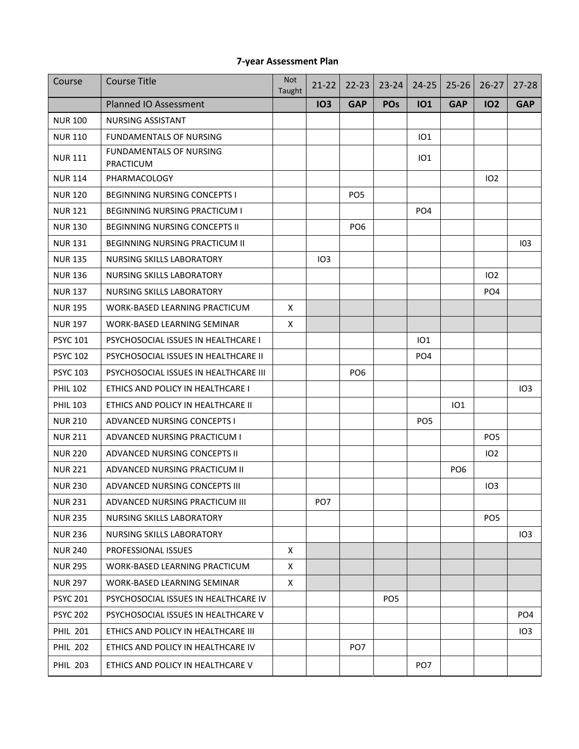#### **7-year Assessment Plan**

| Course          | <b>Course Title</b>                         | <b>Not</b><br>Taught | $21 - 22$       | $22 - 23$       | $23 - 24$       | $24 - 25$       | $25 - 26$       | $26 - 27$       | $27 - 28$       |
|-----------------|---------------------------------------------|----------------------|-----------------|-----------------|-----------------|-----------------|-----------------|-----------------|-----------------|
|                 | <b>Planned IO Assessment</b>                |                      | <b>103</b>      | <b>GAP</b>      | <b>POs</b>      | <b>IO1</b>      | <b>GAP</b>      | <b>102</b>      | <b>GAP</b>      |
| <b>NUR 100</b>  | <b>NURSING ASSISTANT</b>                    |                      |                 |                 |                 |                 |                 |                 |                 |
| <b>NUR 110</b>  | <b>FUNDAMENTALS OF NURSING</b>              |                      |                 |                 |                 | 101             |                 |                 |                 |
| <b>NUR 111</b>  | <b>FUNDAMENTALS OF NURSING</b><br>PRACTICUM |                      |                 |                 |                 | IO1             |                 |                 |                 |
| <b>NUR 114</b>  | PHARMACOLOGY                                |                      |                 |                 |                 |                 |                 | 102             |                 |
| <b>NUR 120</b>  | <b>BEGINNING NURSING CONCEPTS I</b>         |                      |                 | PO <sub>5</sub> |                 |                 |                 |                 |                 |
| <b>NUR121</b>   | <b>BEGINNING NURSING PRACTICUM I</b>        |                      |                 |                 |                 | PO <sub>4</sub> |                 |                 |                 |
| <b>NUR 130</b>  | <b>BEGINNING NURSING CONCEPTS II</b>        |                      |                 | PO <sub>6</sub> |                 |                 |                 |                 |                 |
| <b>NUR 131</b>  | <b>BEGINNING NURSING PRACTICUM II</b>       |                      |                 |                 |                 |                 |                 |                 | 103             |
| <b>NUR 135</b>  | NURSING SKILLS LABORATORY                   |                      | IO <sub>3</sub> |                 |                 |                 |                 |                 |                 |
| <b>NUR 136</b>  | <b>NURSING SKILLS LABORATORY</b>            |                      |                 |                 |                 |                 |                 | 102             |                 |
| <b>NUR 137</b>  | <b>NURSING SKILLS LABORATORY</b>            |                      |                 |                 |                 |                 |                 | PO <sub>4</sub> |                 |
| <b>NUR 195</b>  | WORK-BASED LEARNING PRACTICUM               | X                    |                 |                 |                 |                 |                 |                 |                 |
| <b>NUR 197</b>  | WORK-BASED LEARNING SEMINAR                 | X                    |                 |                 |                 |                 |                 |                 |                 |
| <b>PSYC 101</b> | PSYCHOSOCIAL ISSUES IN HEALTHCARE I         |                      |                 |                 |                 | 101             |                 |                 |                 |
| <b>PSYC 102</b> | PSYCHOSOCIAL ISSUES IN HEALTHCARE II        |                      |                 |                 |                 | PO <sub>4</sub> |                 |                 |                 |
| <b>PSYC 103</b> | PSYCHOSOCIAL ISSUES IN HEALTHCARE III       |                      |                 | PO <sub>6</sub> |                 |                 |                 |                 |                 |
| <b>PHIL 102</b> | ETHICS AND POLICY IN HEALTHCARE I           |                      |                 |                 |                 |                 |                 |                 | IO3             |
| <b>PHIL 103</b> | ETHICS AND POLICY IN HEALTHCARE II          |                      |                 |                 |                 |                 | IO1             |                 |                 |
| <b>NUR 210</b>  | ADVANCED NURSING CONCEPTS I                 |                      |                 |                 |                 | PO <sub>5</sub> |                 |                 |                 |
| <b>NUR 211</b>  | ADVANCED NURSING PRACTICUM I                |                      |                 |                 |                 |                 |                 | PO <sub>5</sub> |                 |
| <b>NUR 220</b>  | ADVANCED NURSING CONCEPTS II                |                      |                 |                 |                 |                 |                 | 102             |                 |
| <b>NUR 221</b>  | ADVANCED NURSING PRACTICUM II               |                      |                 |                 |                 |                 | PO <sub>6</sub> |                 |                 |
| <b>NUR 230</b>  | ADVANCED NURSING CONCEPTS III               |                      |                 |                 |                 |                 |                 | IO3             |                 |
| <b>NUR 231</b>  | ADVANCED NURSING PRACTICUM III              |                      | PO <sub>7</sub> |                 |                 |                 |                 |                 |                 |
| <b>NUR 235</b>  | NURSING SKILLS LABORATORY                   |                      |                 |                 |                 |                 |                 | PO <sub>5</sub> |                 |
| <b>NUR 236</b>  | NURSING SKILLS LABORATORY                   |                      |                 |                 |                 |                 |                 |                 | 103             |
| <b>NUR 240</b>  | PROFESSIONAL ISSUES                         | Χ                    |                 |                 |                 |                 |                 |                 |                 |
| <b>NUR 295</b>  | WORK-BASED LEARNING PRACTICUM               | X                    |                 |                 |                 |                 |                 |                 |                 |
| <b>NUR 297</b>  | WORK-BASED LEARNING SEMINAR                 | X                    |                 |                 |                 |                 |                 |                 |                 |
| <b>PSYC 201</b> | PSYCHOSOCIAL ISSUES IN HEALTHCARE IV        |                      |                 |                 | PO <sub>5</sub> |                 |                 |                 |                 |
| <b>PSYC 202</b> | PSYCHOSOCIAL ISSUES IN HEALTHCARE V         |                      |                 |                 |                 |                 |                 |                 | PO <sub>4</sub> |
| <b>PHIL 201</b> | ETHICS AND POLICY IN HEALTHCARE III         |                      |                 |                 |                 |                 |                 |                 | <b>IO3</b>      |
| <b>PHIL 202</b> | ETHICS AND POLICY IN HEALTHCARE IV          |                      |                 | PO <sub>7</sub> |                 |                 |                 |                 |                 |
| <b>PHIL 203</b> | ETHICS AND POLICY IN HEALTHCARE V           |                      |                 |                 |                 | PO <sub>7</sub> |                 |                 |                 |